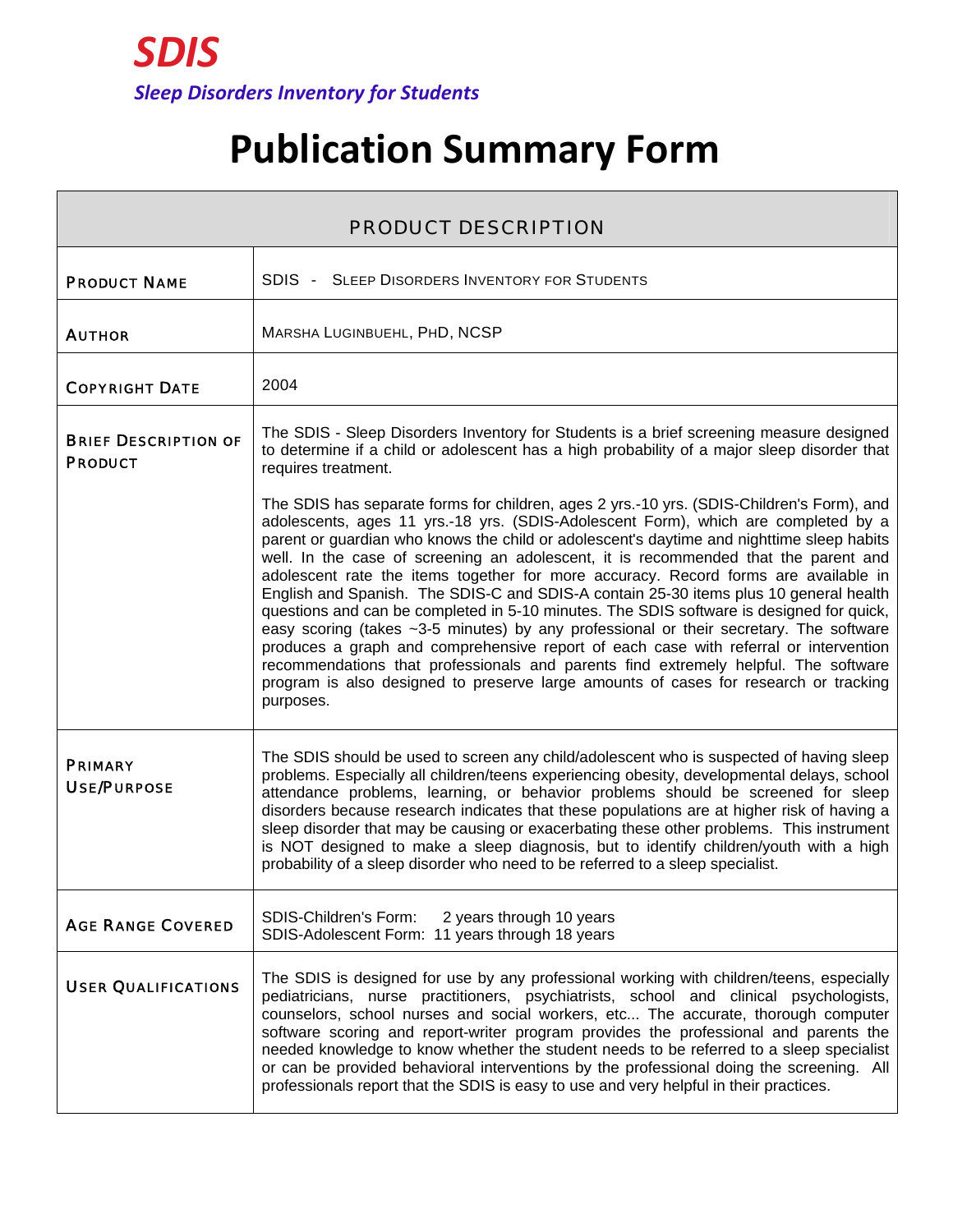## **Publication Summary Form**

| <b>PRODUCT DESCRIPTION</b>                    |                                                                                                                                                                                                                                                                                                                                                                                                                                                                                                                                                                                                                                                                                                                                                                                                                                                                                                                                                                                                                               |
|-----------------------------------------------|-------------------------------------------------------------------------------------------------------------------------------------------------------------------------------------------------------------------------------------------------------------------------------------------------------------------------------------------------------------------------------------------------------------------------------------------------------------------------------------------------------------------------------------------------------------------------------------------------------------------------------------------------------------------------------------------------------------------------------------------------------------------------------------------------------------------------------------------------------------------------------------------------------------------------------------------------------------------------------------------------------------------------------|
| <b>PRODUCT NAME</b>                           | <b>SDIS - SLEEP DISORDERS INVENTORY FOR STUDENTS</b>                                                                                                                                                                                                                                                                                                                                                                                                                                                                                                                                                                                                                                                                                                                                                                                                                                                                                                                                                                          |
| <b>AUTHOR</b>                                 | MARSHA LUGINBUEHL, PHD, NCSP                                                                                                                                                                                                                                                                                                                                                                                                                                                                                                                                                                                                                                                                                                                                                                                                                                                                                                                                                                                                  |
| <b>COPYRIGHT DATE</b>                         | 2004                                                                                                                                                                                                                                                                                                                                                                                                                                                                                                                                                                                                                                                                                                                                                                                                                                                                                                                                                                                                                          |
| <b>BRIEF DESCRIPTION OF</b><br><b>PRODUCT</b> | The SDIS - Sleep Disorders Inventory for Students is a brief screening measure designed<br>to determine if a child or adolescent has a high probability of a major sleep disorder that<br>requires treatment.                                                                                                                                                                                                                                                                                                                                                                                                                                                                                                                                                                                                                                                                                                                                                                                                                 |
|                                               | The SDIS has separate forms for children, ages 2 yrs.-10 yrs. (SDIS-Children's Form), and<br>adolescents, ages 11 yrs.-18 yrs. (SDIS-Adolescent Form), which are completed by a<br>parent or guardian who knows the child or adolescent's daytime and nighttime sleep habits<br>well. In the case of screening an adolescent, it is recommended that the parent and<br>adolescent rate the items together for more accuracy. Record forms are available in<br>English and Spanish. The SDIS-C and SDIS-A contain 25-30 items plus 10 general health<br>questions and can be completed in 5-10 minutes. The SDIS software is designed for quick,<br>easy scoring (takes ~3-5 minutes) by any professional or their secretary. The software<br>produces a graph and comprehensive report of each case with referral or intervention<br>recommendations that professionals and parents find extremely helpful. The software<br>program is also designed to preserve large amounts of cases for research or tracking<br>purposes. |
| <b>PRIMARY</b><br><b>USE/PURPOSE</b>          | The SDIS should be used to screen any child/adolescent who is suspected of having sleep<br>problems. Especially all children/teens experiencing obesity, developmental delays, school<br>attendance problems, learning, or behavior problems should be screened for sleep<br>disorders because research indicates that these populations are at higher risk of having a<br>sleep disorder that may be causing or exacerbating these other problems. This instrument<br>is NOT designed to make a sleep diagnosis, but to identify children/youth with a high<br>probability of a sleep disorder who need to be referred to a sleep specialist.                                                                                                                                                                                                                                                                                                                                                                                |
| <b>AGE RANGE COVERED</b>                      | SDIS-Children's Form:<br>2 years through 10 years<br>SDIS-Adolescent Form: 11 years through 18 years                                                                                                                                                                                                                                                                                                                                                                                                                                                                                                                                                                                                                                                                                                                                                                                                                                                                                                                          |
| <b>USER QUALIFICATIONS</b>                    | The SDIS is designed for use by any professional working with children/teens, especially<br>pediatricians, nurse practitioners, psychiatrists, school and clinical psychologists,<br>counselors, school nurses and social workers, etc The accurate, thorough computer<br>software scoring and report-writer program provides the professional and parents the<br>needed knowledge to know whether the student needs to be referred to a sleep specialist<br>or can be provided behavioral interventions by the professional doing the screening. All<br>professionals report that the SDIS is easy to use and very helpful in their practices.                                                                                                                                                                                                                                                                                                                                                                               |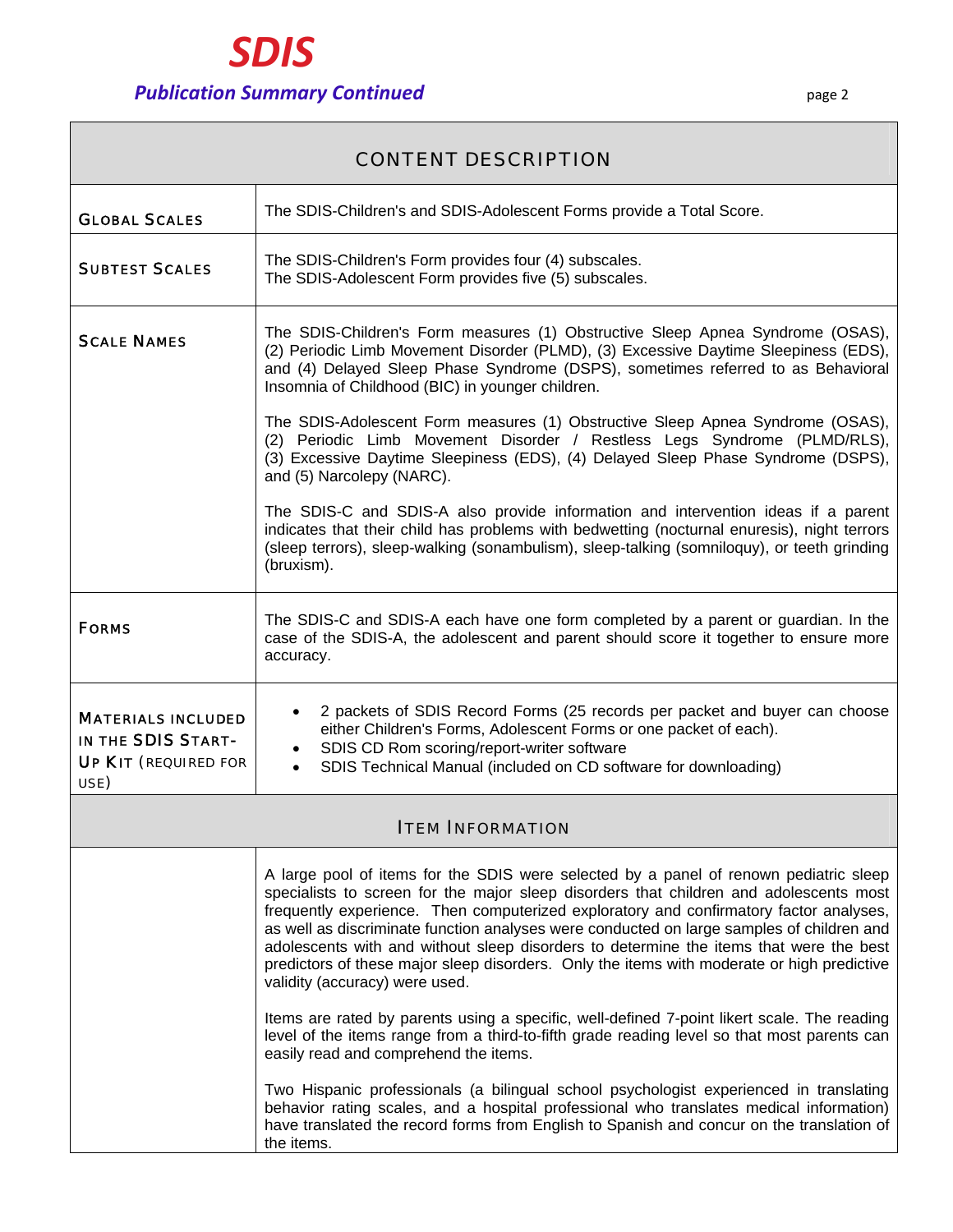| <b>CONTENT DESCRIPTION</b>                                                             |                                                                                                                                                                                                                                                                                                                                                                                                                                                                                                                                                                                                  |  |
|----------------------------------------------------------------------------------------|--------------------------------------------------------------------------------------------------------------------------------------------------------------------------------------------------------------------------------------------------------------------------------------------------------------------------------------------------------------------------------------------------------------------------------------------------------------------------------------------------------------------------------------------------------------------------------------------------|--|
| <b>GLOBAL SCALES</b>                                                                   | The SDIS-Children's and SDIS-Adolescent Forms provide a Total Score.                                                                                                                                                                                                                                                                                                                                                                                                                                                                                                                             |  |
| <b>SUBTEST SCALES</b>                                                                  | The SDIS-Children's Form provides four (4) subscales.<br>The SDIS-Adolescent Form provides five (5) subscales.                                                                                                                                                                                                                                                                                                                                                                                                                                                                                   |  |
| <b>SCALE NAMES</b>                                                                     | The SDIS-Children's Form measures (1) Obstructive Sleep Apnea Syndrome (OSAS),<br>(2) Periodic Limb Movement Disorder (PLMD), (3) Excessive Daytime Sleepiness (EDS),<br>and (4) Delayed Sleep Phase Syndrome (DSPS), sometimes referred to as Behavioral<br>Insomnia of Childhood (BIC) in younger children.                                                                                                                                                                                                                                                                                    |  |
|                                                                                        | The SDIS-Adolescent Form measures (1) Obstructive Sleep Apnea Syndrome (OSAS),<br>(2) Periodic Limb Movement Disorder / Restless Legs Syndrome (PLMD/RLS),<br>(3) Excessive Daytime Sleepiness (EDS), (4) Delayed Sleep Phase Syndrome (DSPS),<br>and (5) Narcolepy (NARC).                                                                                                                                                                                                                                                                                                                      |  |
|                                                                                        | The SDIS-C and SDIS-A also provide information and intervention ideas if a parent<br>indicates that their child has problems with bedwetting (nocturnal enuresis), night terrors<br>(sleep terrors), sleep-walking (sonambulism), sleep-talking (somniloquy), or teeth grinding<br>(bruxism).                                                                                                                                                                                                                                                                                                    |  |
| <b>FORMS</b>                                                                           | The SDIS-C and SDIS-A each have one form completed by a parent or guardian. In the<br>case of the SDIS-A, the adolescent and parent should score it together to ensure more<br>accuracy.                                                                                                                                                                                                                                                                                                                                                                                                         |  |
| <b>MATERIALS INCLUDED</b><br>IN THE SDIS START-<br><b>UP KIT</b> (REQUIRED FOR<br>USE) | 2 packets of SDIS Record Forms (25 records per packet and buyer can choose<br>either Children's Forms, Adolescent Forms or one packet of each).<br>SDIS CD Rom scoring/report-writer software<br>$\bullet$<br>SDIS Technical Manual (included on CD software for downloading)<br>$\bullet$                                                                                                                                                                                                                                                                                                       |  |
|                                                                                        | <b>ITEM INFORMATION</b>                                                                                                                                                                                                                                                                                                                                                                                                                                                                                                                                                                          |  |
|                                                                                        | A large pool of items for the SDIS were selected by a panel of renown pediatric sleep<br>specialists to screen for the major sleep disorders that children and adolescents most<br>frequently experience. Then computerized exploratory and confirmatory factor analyses,<br>as well as discriminate function analyses were conducted on large samples of children and<br>adolescents with and without sleep disorders to determine the items that were the best<br>predictors of these major sleep disorders. Only the items with moderate or high predictive<br>validity (accuracy) were used. |  |
|                                                                                        | Items are rated by parents using a specific, well-defined 7-point likert scale. The reading<br>level of the items range from a third-to-fifth grade reading level so that most parents can<br>easily read and comprehend the items.                                                                                                                                                                                                                                                                                                                                                              |  |
|                                                                                        | Two Hispanic professionals (a bilingual school psychologist experienced in translating<br>behavior rating scales, and a hospital professional who translates medical information)<br>have translated the record forms from English to Spanish and concur on the translation of<br>the items.                                                                                                                                                                                                                                                                                                     |  |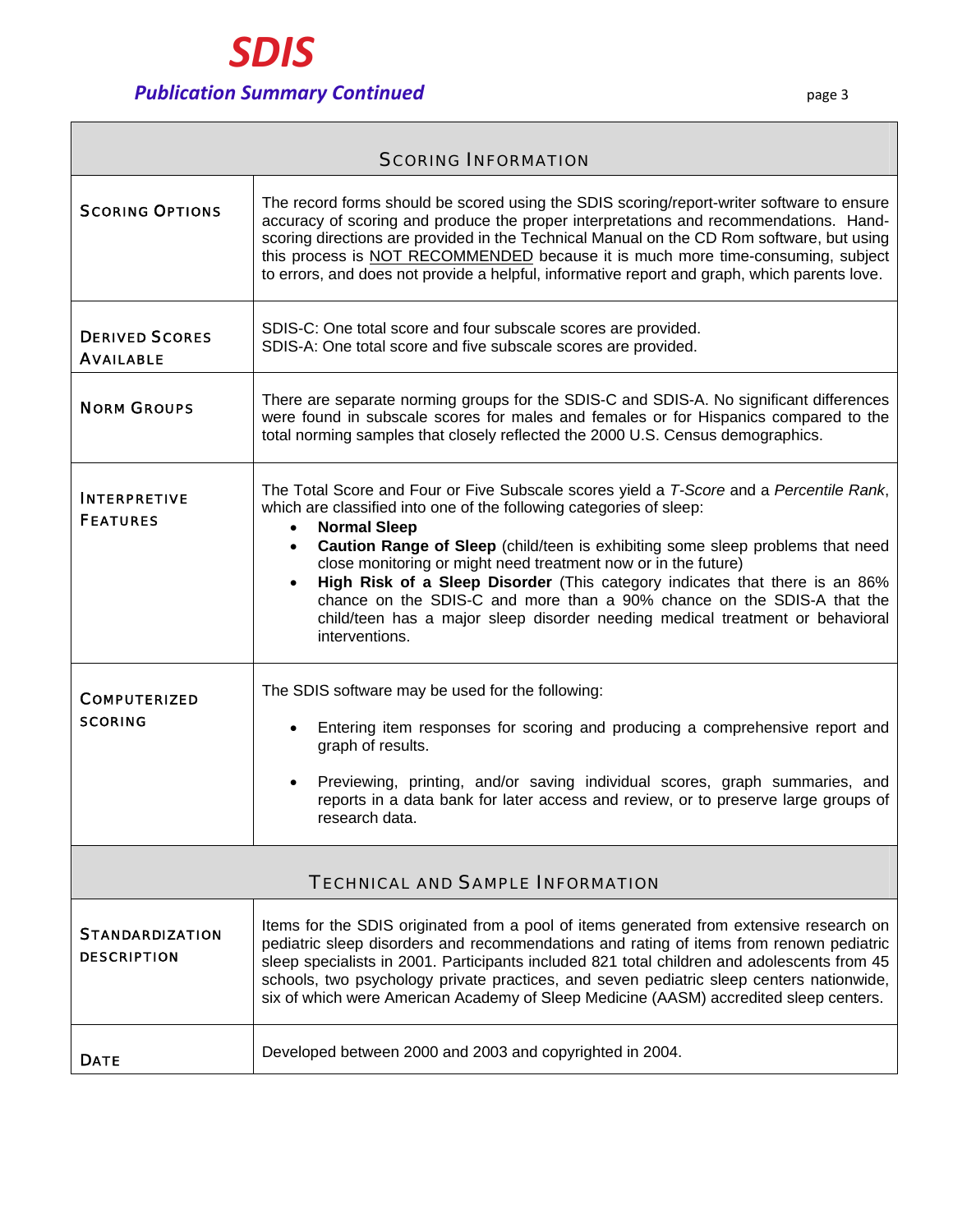

٦

| <b>SCORING INFORMATION</b>                   |                                                                                                                                                                                                                                                                                                                                                                                                                                                                                                                                                                                                                                 |
|----------------------------------------------|---------------------------------------------------------------------------------------------------------------------------------------------------------------------------------------------------------------------------------------------------------------------------------------------------------------------------------------------------------------------------------------------------------------------------------------------------------------------------------------------------------------------------------------------------------------------------------------------------------------------------------|
| <b>SCORING OPTIONS</b>                       | The record forms should be scored using the SDIS scoring/report-writer software to ensure<br>accuracy of scoring and produce the proper interpretations and recommendations. Hand-<br>scoring directions are provided in the Technical Manual on the CD Rom software, but using<br>this process is NOT RECOMMENDED because it is much more time-consuming, subject<br>to errors, and does not provide a helpful, informative report and graph, which parents love.                                                                                                                                                              |
| <b>DERIVED SCORES</b><br><b>AVAILABLE</b>    | SDIS-C: One total score and four subscale scores are provided.<br>SDIS-A: One total score and five subscale scores are provided.                                                                                                                                                                                                                                                                                                                                                                                                                                                                                                |
| <b>NORM GROUPS</b>                           | There are separate norming groups for the SDIS-C and SDIS-A. No significant differences<br>were found in subscale scores for males and females or for Hispanics compared to the<br>total norming samples that closely reflected the 2000 U.S. Census demographics.                                                                                                                                                                                                                                                                                                                                                              |
| <b>INTERPRETIVE</b><br><b>FEATURES</b>       | The Total Score and Four or Five Subscale scores yield a T-Score and a Percentile Rank,<br>which are classified into one of the following categories of sleep:<br><b>Normal Sleep</b><br>$\bullet$<br>Caution Range of Sleep (child/teen is exhibiting some sleep problems that need<br>$\bullet$<br>close monitoring or might need treatment now or in the future)<br>High Risk of a Sleep Disorder (This category indicates that there is an 86%<br>chance on the SDIS-C and more than a 90% chance on the SDIS-A that the<br>child/teen has a major sleep disorder needing medical treatment or behavioral<br>interventions. |
| <b>COMPUTERIZED</b><br><b>SCORING</b>        | The SDIS software may be used for the following:<br>Entering item responses for scoring and producing a comprehensive report and<br>graph of results.<br>Previewing, printing, and/or saving individual scores, graph summaries, and<br>reports in a data bank for later access and review, or to preserve large groups of<br>research data.                                                                                                                                                                                                                                                                                    |
| <b>TECHNICAL AND SAMPLE INFORMATION</b>      |                                                                                                                                                                                                                                                                                                                                                                                                                                                                                                                                                                                                                                 |
| <b>STANDARDIZATION</b><br><b>DESCRIPTION</b> | Items for the SDIS originated from a pool of items generated from extensive research on<br>pediatric sleep disorders and recommendations and rating of items from renown pediatric<br>sleep specialists in 2001. Participants included 821 total children and adolescents from 45<br>schools, two psychology private practices, and seven pediatric sleep centers nationwide,<br>six of which were American Academy of Sleep Medicine (AASM) accredited sleep centers.                                                                                                                                                          |
| <b>DATE</b>                                  | Developed between 2000 and 2003 and copyrighted in 2004.                                                                                                                                                                                                                                                                                                                                                                                                                                                                                                                                                                        |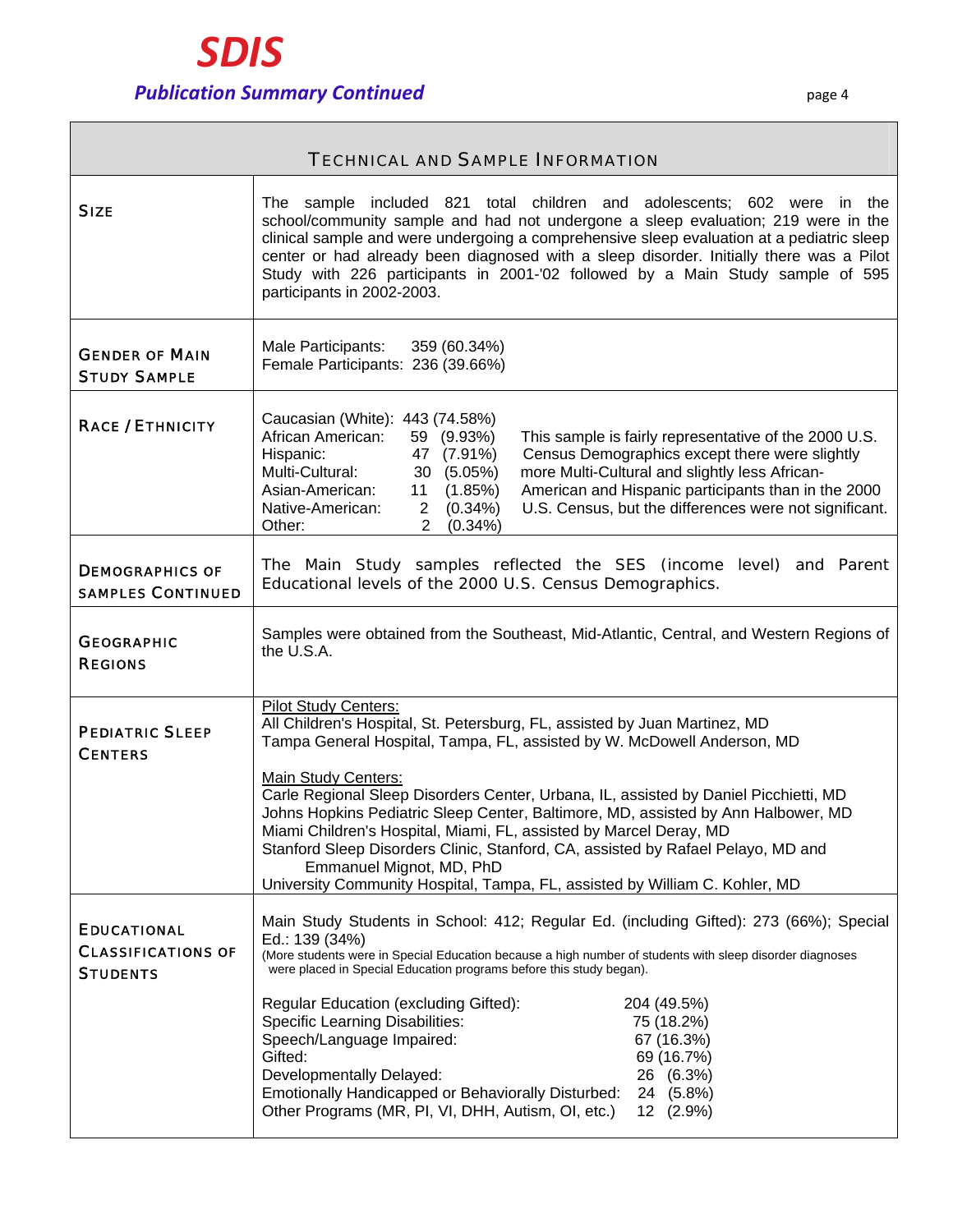| <b>TECHNICAL AND SAMPLE INFORMATION</b>                            |                                                                                                                                                                                                                                                                                                                                                                                                                                                                                                                                                                                                                                                                |
|--------------------------------------------------------------------|----------------------------------------------------------------------------------------------------------------------------------------------------------------------------------------------------------------------------------------------------------------------------------------------------------------------------------------------------------------------------------------------------------------------------------------------------------------------------------------------------------------------------------------------------------------------------------------------------------------------------------------------------------------|
| <b>SIZE</b>                                                        | The sample included 821 total children and adolescents; 602 were in the<br>school/community sample and had not undergone a sleep evaluation; 219 were in the<br>clinical sample and were undergoing a comprehensive sleep evaluation at a pediatric sleep<br>center or had already been diagnosed with a sleep disorder. Initially there was a Pilot<br>Study with 226 participants in 2001-'02 followed by a Main Study sample of 595<br>participants in 2002-2003.                                                                                                                                                                                           |
| <b>GENDER OF MAIN</b><br><b>STUDY SAMPLE</b>                       | Male Participants:<br>359 (60.34%)<br>Female Participants: 236 (39.66%)                                                                                                                                                                                                                                                                                                                                                                                                                                                                                                                                                                                        |
| <b>RACE / ETHNICITY</b>                                            | Caucasian (White): 443 (74.58%)<br>African American:<br>59 (9.93%)<br>This sample is fairly representative of the 2000 U.S.<br>Hispanic:<br>47 (7.91%)<br>Census Demographics except there were slightly<br>more Multi-Cultural and slightly less African-<br>Multi-Cultural:<br>30 (5.05%)<br>American and Hispanic participants than in the 2000<br>Asian-American:<br>11 (1.85%)<br>U.S. Census, but the differences were not significant.<br>Native-American:<br>$2(0.34\%)$<br>$2(0.34\%)$<br>Other:                                                                                                                                                      |
| <b>DEMOGRAPHICS OF</b><br><b>SAMPLES CONTINUED</b>                 | The Main Study samples reflected the SES (income level) and Parent<br>Educational levels of the 2000 U.S. Census Demographics.                                                                                                                                                                                                                                                                                                                                                                                                                                                                                                                                 |
| <b>GEOGRAPHIC</b><br><b>REGIONS</b>                                | Samples were obtained from the Southeast, Mid-Atlantic, Central, and Western Regions of<br>the U.S.A.                                                                                                                                                                                                                                                                                                                                                                                                                                                                                                                                                          |
| <b>PEDIATRIC SLEEP</b><br><b>CENTERS</b>                           | <b>Pilot Study Centers:</b><br>All Children's Hospital, St. Petersburg, FL, assisted by Juan Martinez, MD<br>Tampa General Hospital, Tampa, FL, assisted by W. McDowell Anderson, MD<br>Main Study Centers:<br>Carle Regional Sleep Disorders Center, Urbana, IL, assisted by Daniel Picchietti, MD<br>Johns Hopkins Pediatric Sleep Center, Baltimore, MD, assisted by Ann Halbower, MD<br>Miami Children's Hospital, Miami, FL, assisted by Marcel Deray, MD<br>Stanford Sleep Disorders Clinic, Stanford, CA, assisted by Rafael Pelayo, MD and<br>Emmanuel Mignot, MD, PhD<br>University Community Hospital, Tampa, FL, assisted by William C. Kohler, MD  |
| <b>EDUCATIONAL</b><br><b>CLASSIFICATIONS OF</b><br><b>STUDENTS</b> | Main Study Students in School: 412; Regular Ed. (including Gifted): 273 (66%); Special<br>Ed.: 139 (34%)<br>(More students were in Special Education because a high number of students with sleep disorder diagnoses<br>were placed in Special Education programs before this study began).<br>Regular Education (excluding Gifted):<br>204 (49.5%)<br><b>Specific Learning Disabilities:</b><br>75 (18.2%)<br>Speech/Language Impaired:<br>67 (16.3%)<br>Gifted:<br>69 (16.7%)<br>Developmentally Delayed:<br>26 (6.3%)<br>Emotionally Handicapped or Behaviorally Disturbed:<br>24 (5.8%)<br>Other Programs (MR, PI, VI, DHH, Autism, OI, etc.)<br>12 (2.9%) |